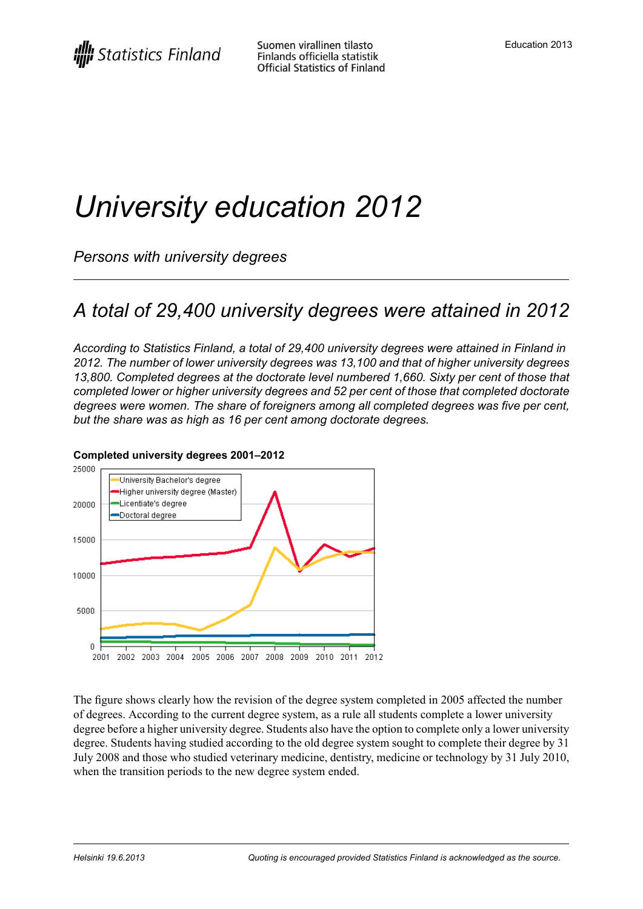# *University education 2012*

*Persons with university degrees*

### *A total of 29,400 university degrees were attained in 2012*

*According to Statistics Finland, a total of 29,400 university degrees were attained in Finland in 2012. The number of lower university degrees was 13,100 and that of higher university degrees 13,800. Completed degrees at the doctorate level numbered 1,660. Sixty per cent of those that completed lower or higher university degrees and 52 per cent of those that completed doctorate degrees were women. The share of foreigners among all completed degrees was five per cent, but the share was as high as 16 per cent among doctorate degrees.*



#### **Completed university degrees 2001–2012**

The figure shows clearly how the revision of the degree system completed in 2005 affected the number of degrees. According to the current degree system, as a rule all students complete a lower university degree before a higher university degree. Students also have the option to complete only a lower university degree. Students having studied according to the old degree system sought to complete their degree by 31 July 2008 and those who studied veterinary medicine, dentistry, medicine or technology by 31 July 2010, when the transition periods to the new degree system ended.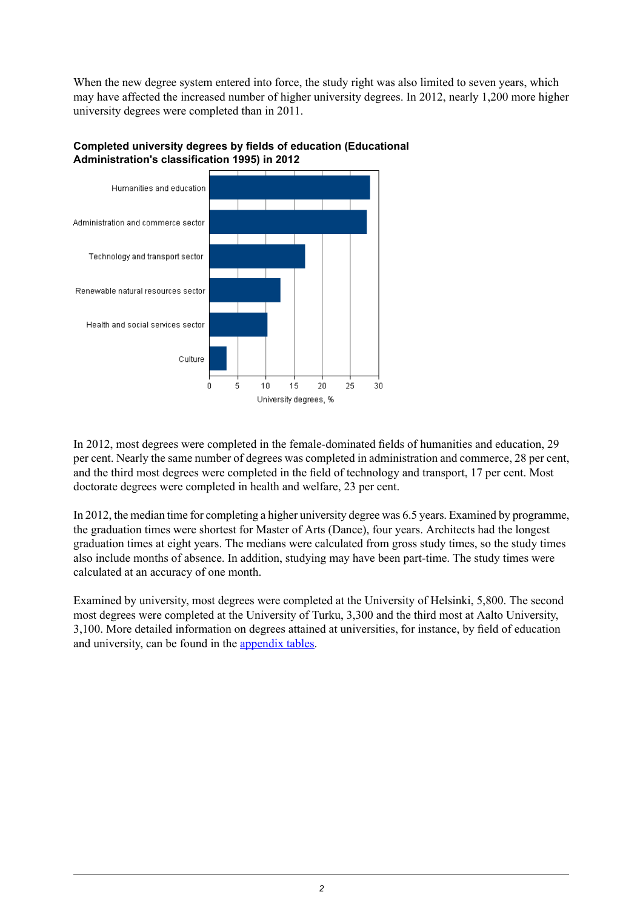When the new degree system entered into force, the study right was also limited to seven years, which may have affected the increased number of higher university degrees. In 2012, nearly 1,200 more higher university degrees were completed than in 2011.



#### **Completed university degrees by fields of education (Educational Administration's classification 1995) in 2012**

In 2012, most degrees were completed in the female-dominated fields of humanities and education, 29 per cent. Nearly the same number of degrees was completed in administration and commerce, 28 per cent, and the third most degrees were completed in the field of technology and transport, 17 per cent. Most doctorate degrees were completed in health and welfare, 23 per cent.

In 2012, the median time for completing a higher university degree was 6.5 years. Examined by programme, the graduation times were shortest for Master of Arts (Dance), four years. Architects had the longest graduation times at eight years. The medians were calculated from gross study times, so the study times also include months of absence. In addition, studying may have been part-time. The study times were calculated at an accuracy of one month.

Examined by university, most degrees were completed at the University of Helsinki, 5,800. The second most degrees were completed at the University of Turku, 3,300 and the third most at Aalto University, 3,100. More detailed information on degrees attained at universities, for instance, by field of education and university, can be found in the [appendix](http://tilastokeskus.fi/til/yop/tau_en.html) tables.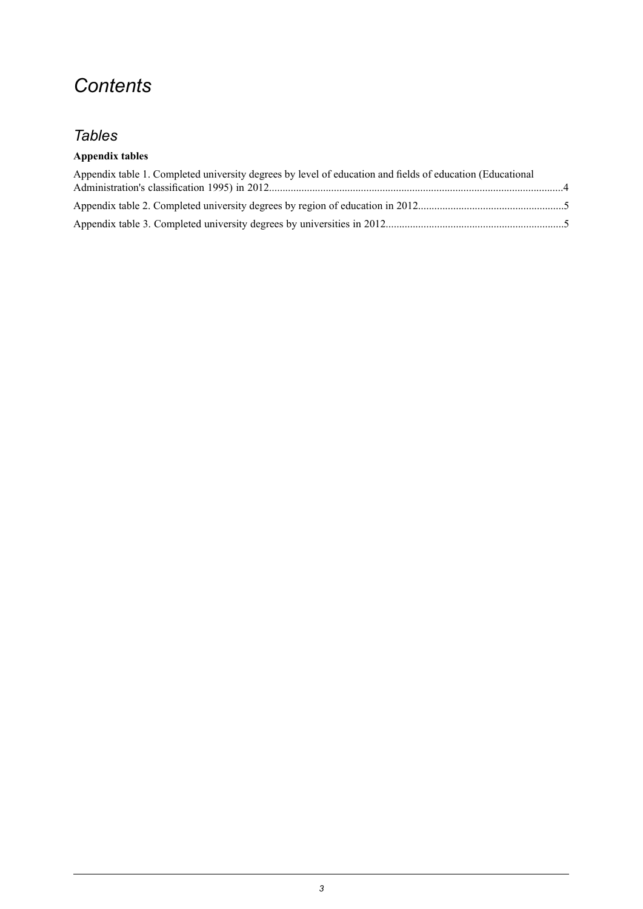### *Contents*

#### *Tables*

#### **Appendix tables**

| Appendix table 1. Completed university degrees by level of education and fields of education (Educational |  |
|-----------------------------------------------------------------------------------------------------------|--|
|                                                                                                           |  |
|                                                                                                           |  |
|                                                                                                           |  |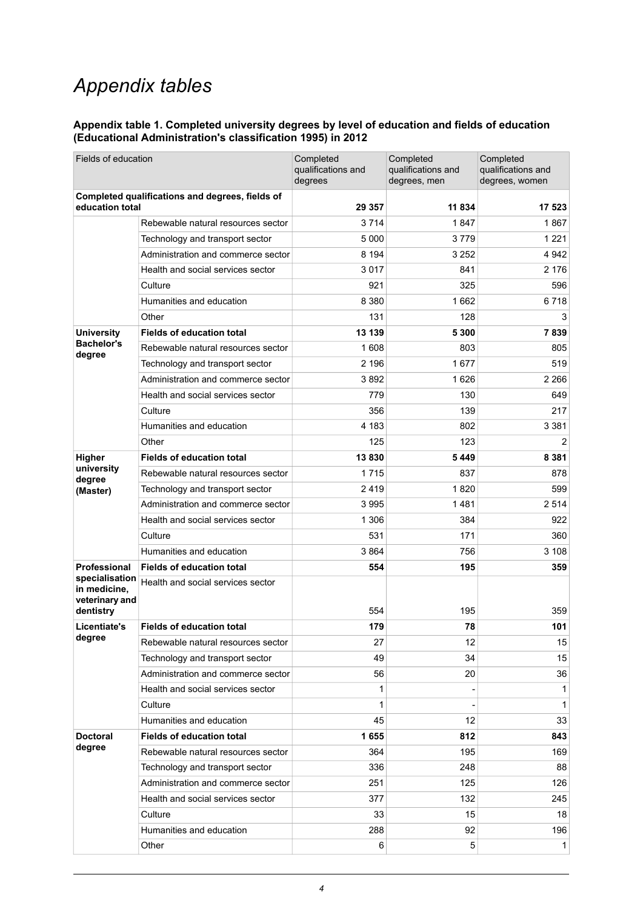### *Appendix tables*

#### <span id="page-3-0"></span>**Appendix table 1. Completed university degrees by level of education and fields of education (Educational Administration's classification 1995) in 2012**

| Fields of education                                                |                                    | Completed<br>qualifications and<br>degrees | Completed<br>qualifications and<br>degrees, men | Completed<br>qualifications and<br>degrees, women |
|--------------------------------------------------------------------|------------------------------------|--------------------------------------------|-------------------------------------------------|---------------------------------------------------|
| Completed qualifications and degrees, fields of<br>education total |                                    | 29 357                                     | 11 834                                          | 17 523                                            |
|                                                                    | Rebewable natural resources sector | 3 7 1 4                                    | 1847                                            | 1867                                              |
|                                                                    | Technology and transport sector    | 5 0 0 0                                    | 3 7 7 9                                         | 1 2 2 1                                           |
|                                                                    | Administration and commerce sector | 8 1 9 4                                    | 3 2 5 2                                         | 4 9 4 2                                           |
|                                                                    | Health and social services sector  | 3017                                       | 841                                             | 2 1 7 6                                           |
|                                                                    | Culture                            | 921                                        | 325                                             | 596                                               |
|                                                                    | Humanities and education           | 8 3 8 0                                    | 1662                                            | 6718                                              |
|                                                                    | Other                              | 131                                        | 128                                             | 3                                                 |
| <b>University</b>                                                  | <b>Fields of education total</b>   | 13 139                                     | 5 300                                           | 7839                                              |
| <b>Bachelor's</b><br>degree                                        | Rebewable natural resources sector | 1 608                                      | 803                                             | 805                                               |
|                                                                    | Technology and transport sector    | 2 1 9 6                                    | 1677                                            | 519                                               |
|                                                                    | Administration and commerce sector | 3892                                       | 1626                                            | 2 2 6 6                                           |
|                                                                    | Health and social services sector  | 779                                        | 130                                             | 649                                               |
|                                                                    | Culture                            | 356                                        | 139                                             | 217                                               |
|                                                                    | Humanities and education           | 4 183                                      | 802                                             | 3 3 8 1                                           |
|                                                                    | Other                              | 125                                        | 123                                             | 2                                                 |
| Higher                                                             | <b>Fields of education total</b>   | 13830                                      | 5449                                            | 8 3 8 1                                           |
| university<br>degree                                               | Rebewable natural resources sector | 1 7 1 5                                    | 837                                             | 878                                               |
| (Master)                                                           | Technology and transport sector    | 2419                                       | 1820                                            | 599                                               |
|                                                                    | Administration and commerce sector | 3995                                       | 1481                                            | 2514                                              |
|                                                                    | Health and social services sector  | 1 3 0 6                                    | 384                                             | 922                                               |
|                                                                    | Culture                            | 531                                        | 171                                             | 360                                               |
|                                                                    | Humanities and education           | 3864                                       | 756                                             | 3 1 0 8                                           |
| <b>Professional</b>                                                | <b>Fields of education total</b>   | 554                                        | 195                                             | 359                                               |
| specialisation<br>in medicine,<br>veterinary and<br>dentistry      | Health and social services sector  | 554                                        | 195                                             | 359                                               |
| Licentiate's<br>degree                                             | <b>Fields of education total</b>   | 179                                        | 78                                              | 101                                               |
|                                                                    | Rebewable natural resources sector | 27                                         | 12                                              | 15                                                |
|                                                                    | Technology and transport sector    | 49                                         | 34                                              | 15                                                |
|                                                                    | Administration and commerce sector | 56                                         | 20                                              | 36                                                |
|                                                                    | Health and social services sector  | 1                                          |                                                 | $\mathbf{1}$                                      |
|                                                                    | Culture                            | 1                                          |                                                 | $\mathbf{1}$                                      |
|                                                                    | Humanities and education           | 45                                         | 12                                              | 33                                                |
| <b>Doctoral</b>                                                    | <b>Fields of education total</b>   | 1655                                       | 812                                             | 843                                               |
| degree                                                             | Rebewable natural resources sector | 364                                        | 195                                             | 169                                               |
|                                                                    | Technology and transport sector    | 336                                        | 248                                             | 88                                                |
|                                                                    | Administration and commerce sector | 251                                        | 125                                             | 126                                               |
|                                                                    | Health and social services sector  | 377                                        | 132                                             | 245                                               |
|                                                                    | Culture                            | 33                                         | 15                                              | 18                                                |
|                                                                    | Humanities and education           | 288                                        | 92                                              | 196                                               |
|                                                                    | Other                              | 6                                          | 5                                               | $\mathbf{1}$                                      |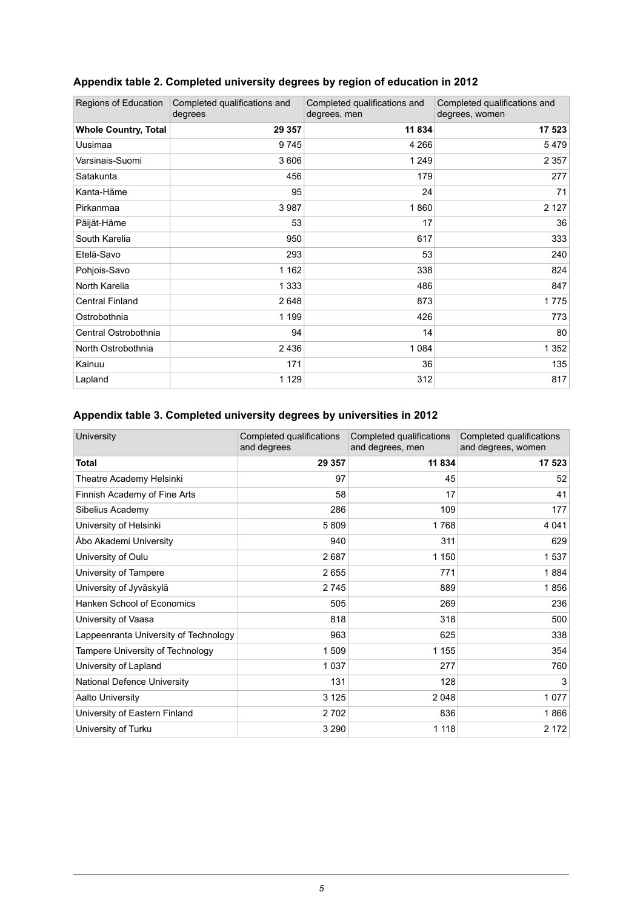| Regions of Education        | Completed qualifications and<br>degrees | Completed qualifications and<br>degrees, men | Completed qualifications and<br>degrees, women |
|-----------------------------|-----------------------------------------|----------------------------------------------|------------------------------------------------|
| <b>Whole Country, Total</b> | 29 357                                  | 11 834                                       | 17 523                                         |
| Uusimaa                     | 9745                                    | 4 2 6 6                                      | 5479                                           |
| Varsinais-Suomi             | 3 606                                   | 1 2 4 9                                      | 2 3 5 7                                        |
| Satakunta                   | 456                                     | 179                                          | 277                                            |
| Kanta-Häme                  | 95                                      | 24                                           | 71                                             |
| Pirkanmaa                   | 3 9 8 7                                 | 1860                                         | 2 1 2 7                                        |
| Päijät-Häme                 | 53                                      | 17                                           | 36                                             |
| South Karelia               | 950                                     | 617                                          | 333                                            |
| Etelä-Savo                  | 293                                     | 53                                           | 240                                            |
| Pohjois-Savo                | 1 1 6 2                                 | 338                                          | 824                                            |
| North Karelia               | 1 3 3 3                                 | 486                                          | 847                                            |
| <b>Central Finland</b>      | 2648                                    | 873                                          | 1775                                           |
| Ostrobothnia                | 1 1 9 9                                 | 426                                          | 773                                            |
| Central Ostrobothnia        | 94                                      | 14                                           | 80                                             |
| North Ostrobothnia          | 2 4 3 6                                 | 1 0 8 4                                      | 1 3 5 2                                        |
| Kainuu                      | 171                                     | 36                                           | 135                                            |
| Lapland                     | 1 1 2 9                                 | 312                                          | 817                                            |

#### <span id="page-4-0"></span>**Appendix table 2. Completed university degrees by region of education in 2012**

#### <span id="page-4-1"></span>**Appendix table 3. Completed university degrees by universities in 2012**

| University                            | Completed qualifications<br>and degrees | Completed qualifications<br>and degrees, men | Completed qualifications<br>and degrees, women |
|---------------------------------------|-----------------------------------------|----------------------------------------------|------------------------------------------------|
| <b>Total</b>                          | 29 357                                  | 11 834                                       | 17 523                                         |
| Theatre Academy Helsinki              | 97                                      | 45                                           | 52                                             |
| Finnish Academy of Fine Arts          | 58                                      | 17                                           | 41                                             |
| Sibelius Academy                      | 286                                     | 109                                          | 177                                            |
| University of Helsinki                | 5809                                    | 1768                                         | 4 0 4 1                                        |
| Abo Akademi University                | 940                                     | 311                                          | 629                                            |
| University of Oulu                    | 2687                                    | 1 150                                        | 1537                                           |
| University of Tampere                 | 2655                                    | 771                                          | 1884                                           |
| University of Jyväskylä               | 2745                                    | 889                                          | 1856                                           |
| <b>Hanken School of Economics</b>     | 505                                     | 269                                          | 236                                            |
| University of Vaasa                   | 818                                     | 318                                          | 500                                            |
| Lappeenranta University of Technology | 963                                     | 625                                          | 338                                            |
| Tampere University of Technology      | 1 509                                   | 1 1 5 5                                      | 354                                            |
| University of Lapland                 | 1 0 3 7                                 | 277                                          | 760                                            |
| <b>National Defence University</b>    | 131                                     | 128                                          | 3                                              |
| Aalto University                      | 3 1 2 5                                 | 2 0 4 8                                      | 1077                                           |
| University of Eastern Finland         | 2702                                    | 836                                          | 1866                                           |
| University of Turku                   | 3 2 9 0                                 | 1 1 1 8                                      | 2 172                                          |